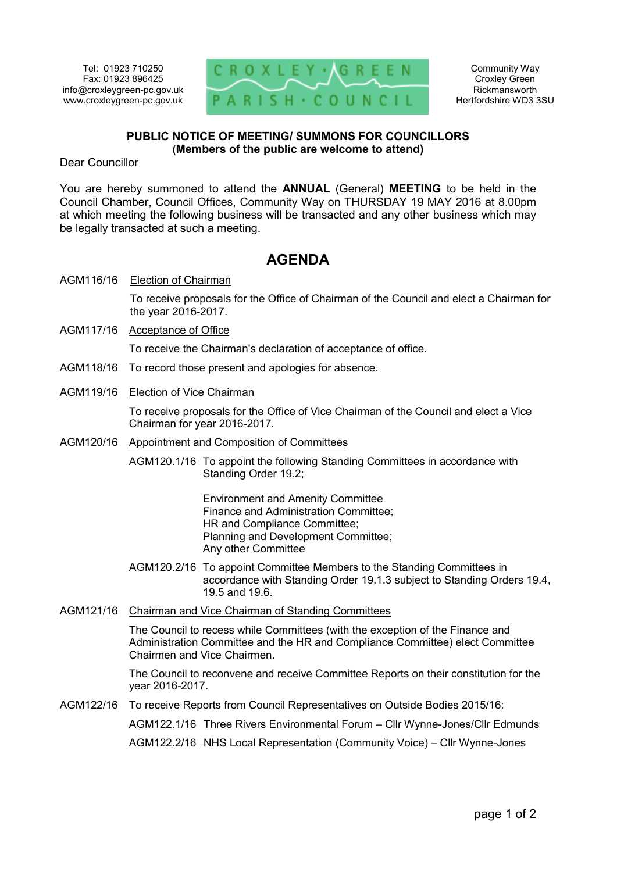Tel: 01923 710250 Fax: 01923 896425 info@croxleygreen-pc.gov.uk www.croxleygreen-pc.gov.uk



Community Way Croxley Green Rickmansworth Hertfordshire WD3 3SU

## **PUBLIC NOTICE OF MEETING/ SUMMONS FOR COUNCILLORS (Members of the public are welcome to attend)**

Dear Councillor

You are hereby summoned to attend the **ANNUAL** (General) **MEETING** to be held in the Council Chamber, Council Offices, Community Way on THURSDAY 19 MAY 2016 at 8.00pm at which meeting the following business will be transacted and any other business which may be legally transacted at such a meeting.

# **AGENDA**

AGM116/16 Election of Chairman

To receive proposals for the Office of Chairman of the Council and elect a Chairman for the year 2016-2017.

AGM117/16 Acceptance of Office

To receive the Chairman's declaration of acceptance of office.

- AGM118/16 To record those present and apologies for absence.
- AGM119/16 Election of Vice Chairman

To receive proposals for the Office of Vice Chairman of the Council and elect a Vice Chairman for year 2016-2017.

AGM120/16 Appointment and Composition of Committees

AGM120.1/16 To appoint the following Standing Committees in accordance with Standing Order 19.2;

> Environment and Amenity Committee Finance and Administration Committee; HR and Compliance Committee; Planning and Development Committee; Any other Committee

- AGM120.2/16 To appoint Committee Members to the Standing Committees in accordance with Standing Order 19.1.3 subject to Standing Orders 19.4, 19.5 and 19.6.
- AGM121/16 Chairman and Vice Chairman of Standing Committees

The Council to recess while Committees (with the exception of the Finance and Administration Committee and the HR and Compliance Committee) elect Committee Chairmen and Vice Chairmen.

The Council to reconvene and receive Committee Reports on their constitution for the year 2016-2017.

AGM122/16 To receive Reports from Council Representatives on Outside Bodies 2015/16:

AGM122.1/16 Three Rivers Environmental Forum – Cllr Wynne-Jones/Cllr Edmunds

AGM122.2/16 NHS Local Representation (Community Voice) – Cllr Wynne-Jones